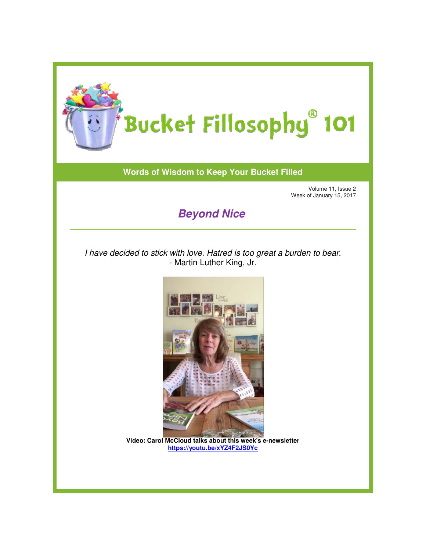

## **Words of Wisdom to Keep Your Bucket Filled**

Volume 11, Issue 2 Week of January 15, 2017

## **Beyond Nice**

I have decided to stick with love. Hatred is too great a burden to bear. - Martin Luther King, Jr.



**Video: Carol McCloud talks about this week's e : e-newsletter https://youtu.be/xYZ4F2JS0Yc**